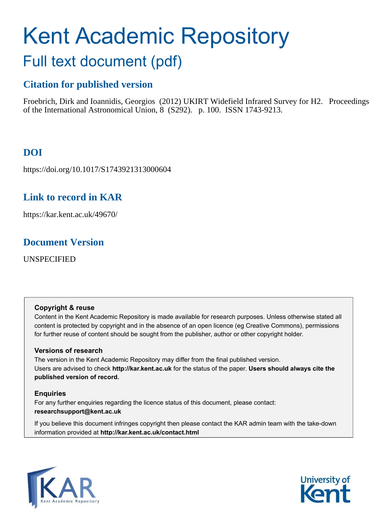# Kent Academic Repository

## Full text document (pdf)

#### **Citation for published version**

Froebrich, Dirk and Ioannidis, Georgios (2012) UKIRT Widefield Infrared Survey for H2. Proceedings of the International Astronomical Union, 8 (S292). p. 100. ISSN 1743-9213.

#### **DOI**

https://doi.org/10.1017/S1743921313000604

#### **Link to record in KAR**

https://kar.kent.ac.uk/49670/

#### **Document Version**

UNSPECIFIED

#### **Copyright & reuse**

Content in the Kent Academic Repository is made available for research purposes. Unless otherwise stated all content is protected by copyright and in the absence of an open licence (eg Creative Commons), permissions for further reuse of content should be sought from the publisher, author or other copyright holder.

#### **Versions of research**

The version in the Kent Academic Repository may differ from the final published version. Users are advised to check **http://kar.kent.ac.uk** for the status of the paper. **Users should always cite the published version of record.**

#### **Enquiries**

For any further enquiries regarding the licence status of this document, please contact: **researchsupport@kent.ac.uk**

If you believe this document infringes copyright then please contact the KAR admin team with the take-down information provided at **http://kar.kent.ac.uk/contact.html**